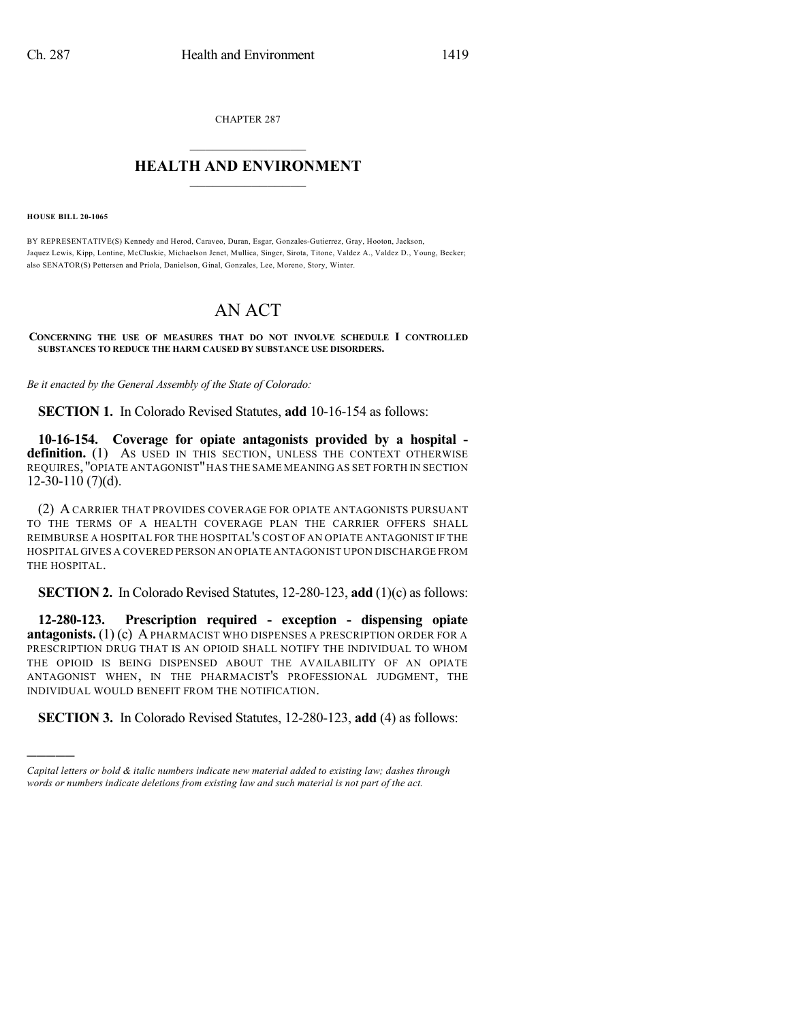CHAPTER 287  $\overline{\phantom{a}}$  . The set of the set of the set of the set of the set of the set of the set of the set of the set of the set of the set of the set of the set of the set of the set of the set of the set of the set of the set o

## **HEALTH AND ENVIRONMENT**  $\_$

**HOUSE BILL 20-1065**

)))))

BY REPRESENTATIVE(S) Kennedy and Herod, Caraveo, Duran, Esgar, Gonzales-Gutierrez, Gray, Hooton, Jackson, Jaquez Lewis, Kipp, Lontine, McCluskie, Michaelson Jenet, Mullica, Singer, Sirota, Titone, Valdez A., Valdez D., Young, Becker; also SENATOR(S) Pettersen and Priola, Danielson, Ginal, Gonzales, Lee, Moreno, Story, Winter.

## AN ACT

**CONCERNING THE USE OF MEASURES THAT DO NOT INVOLVE SCHEDULE I CONTROLLED SUBSTANCES TO REDUCE THE HARM CAUSED BY SUBSTANCE USE DISORDERS.**

*Be it enacted by the General Assembly of the State of Colorado:*

**SECTION 1.** In Colorado Revised Statutes, **add** 10-16-154 as follows:

**10-16-154. Coverage for opiate antagonists provided by a hospital**  definition. (1) As USED IN THIS SECTION, UNLESS THE CONTEXT OTHERWISE REQUIRES,"OPIATE ANTAGONIST"HAS THE SAME MEANING AS SET FORTH IN SECTION  $12-30-110$  (7)(d).

(2) ACARRIER THAT PROVIDES COVERAGE FOR OPIATE ANTAGONISTS PURSUANT TO THE TERMS OF A HEALTH COVERAGE PLAN THE CARRIER OFFERS SHALL REIMBURSE A HOSPITAL FOR THE HOSPITAL'S COST OF AN OPIATE ANTAGONIST IF THE HOSPITAL GIVES A COVERED PERSON AN OPIATE ANTAGONIST UPON DISCHARGE FROM THE HOSPITAL.

**SECTION 2.** In Colorado Revised Statutes, 12-280-123, **add** (1)(c) as follows:

**12-280-123. Prescription required - exception - dispensing opiate antagonists.** (1) (c) APHARMACIST WHO DISPENSES A PRESCRIPTION ORDER FOR A PRESCRIPTION DRUG THAT IS AN OPIOID SHALL NOTIFY THE INDIVIDUAL TO WHOM THE OPIOID IS BEING DISPENSED ABOUT THE AVAILABILITY OF AN OPIATE ANTAGONIST WHEN, IN THE PHARMACIST'S PROFESSIONAL JUDGMENT, THE INDIVIDUAL WOULD BENEFIT FROM THE NOTIFICATION.

**SECTION 3.** In Colorado Revised Statutes, 12-280-123, **add** (4) as follows:

*Capital letters or bold & italic numbers indicate new material added to existing law; dashes through words or numbers indicate deletions from existing law and such material is not part of the act.*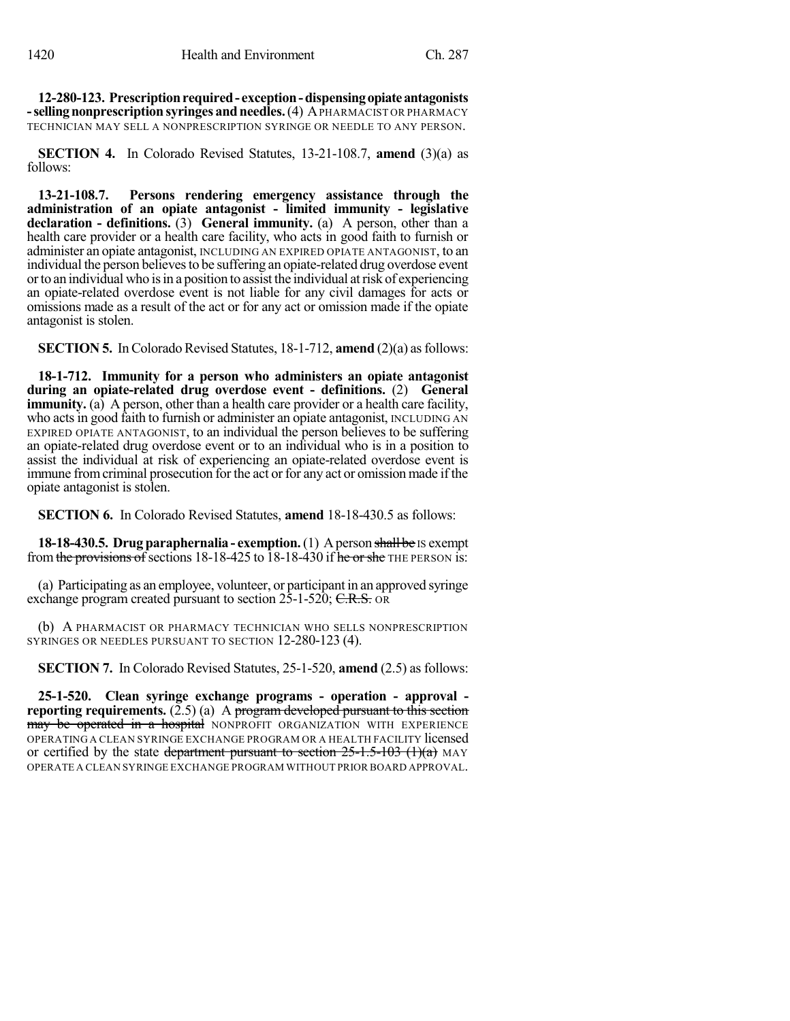**12-280-123. Prescriptionrequired- exception-dispensingopiateantagonists -selling nonprescription syringes and needles.** (4) A PHARMACIST OR PHARMACY TECHNICIAN MAY SELL A NONPRESCRIPTION SYRINGE OR NEEDLE TO ANY PERSON.

**SECTION 4.** In Colorado Revised Statutes, 13-21-108.7, **amend** (3)(a) as follows:

**13-21-108.7. Persons rendering emergency assistance through the administration of an opiate antagonist - limited immunity - legislative declaration - definitions.** (3) **General immunity.** (a) A person, other than a health care provider or a health care facility, who acts in good faith to furnish or administer an opiate antagonist, INCLUDING AN EXPIRED OPIATE ANTAGONIST, to an individual the person believes to be suffering an opiate-related drug overdose event orto an individual who isin a position to assist the individual atrisk of experiencing an opiate-related overdose event is not liable for any civil damages for acts or omissions made as a result of the act or for any act or omission made if the opiate antagonist is stolen.

**SECTION 5.** In Colorado Revised Statutes, 18-1-712, **amend** (2)(a) as follows:

**18-1-712. Immunity for a person who administers an opiate antagonist during an opiate-related drug overdose event - definitions.** (2) **General immunity.** (a) A person, other than a health care provider or a health care facility, who acts in good faith to furnish or administer an opiate antagonist, INCLUDING AN EXPIRED OPIATE ANTAGONIST, to an individual the person believes to be suffering an opiate-related drug overdose event or to an individual who is in a position to assist the individual at risk of experiencing an opiate-related overdose event is immune from criminal prosecution for the act or for any act or omission made if the opiate antagonist is stolen.

**SECTION 6.** In Colorado Revised Statutes, **amend** 18-18-430.5 as follows:

**18-18-430.5. Drug paraphernalia - exemption.**(1) Aperson shall be IS exempt from the provisions of sections 18-18-425 to  $\overline{18}$ -18-430 if he or she THE PERSON is:

(a) Participating as an employee, volunteer, or participant in an approved syringe exchange program created pursuant to section  $25$ -1-520; C.R.S. OR

(b) A PHARMACIST OR PHARMACY TECHNICIAN WHO SELLS NONPRESCRIPTION SYRINGES OR NEEDLES PURSUANT TO SECTION 12-280-123 (4).

**SECTION 7.** In Colorado Revised Statutes, 25-1-520, **amend** (2.5) as follows:

**25-1-520. Clean syringe exchange programs - operation - approval reporting requirements.**  $(\tilde{2.5})$  (a) A program developed pursuant to this section may be operated in a hospital NONPROFIT ORGANIZATION WITH EXPERIENCE OPERATING A CLEAN SYRINGE EXCHANGE PROGRAM OR A HEALTH FACILITY licensed or certified by the state department pursuant to section  $25-1.5-103$  (1)(a) MAY OPERATE A CLEAN SYRINGE EXCHANGE PROGRAM WITHOUT PRIOR BOARD APPROVAL.